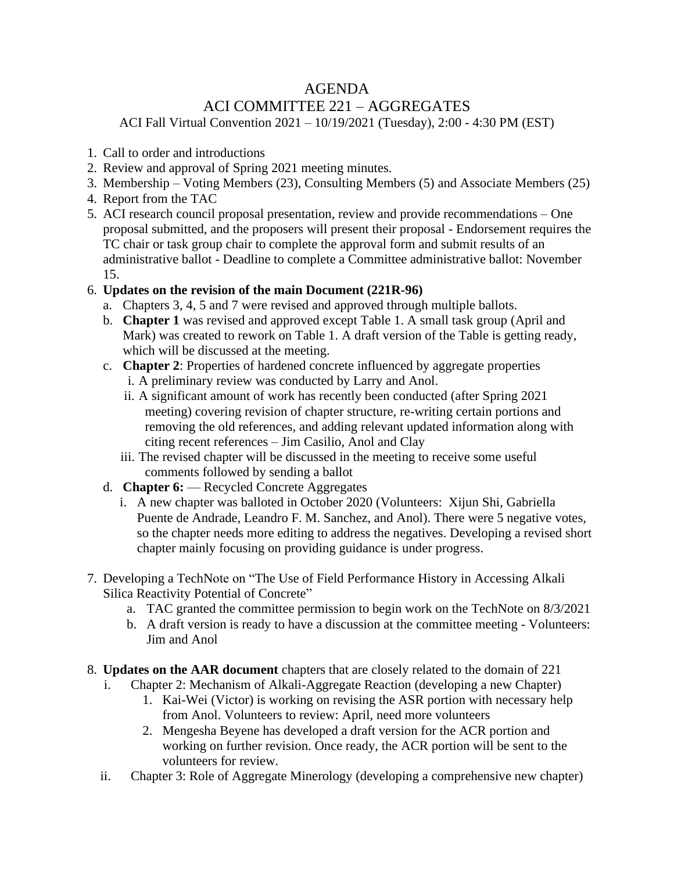## AGENDA

## ACI COMMITTEE 221 – AGGREGATES

ACI Fall Virtual Convention 2021 – 10/19/2021 (Tuesday), 2:00 - 4:30 PM (EST)

- 1. Call to order and introductions
- 2. Review and approval of Spring 2021 meeting minutes.
- 3. Membership Voting Members (23), Consulting Members (5) and Associate Members (25)
- 4. Report from the TAC
- 5. ACI research council proposal presentation, review and provide recommendations One proposal submitted, and the proposers will present their proposal - Endorsement requires the TC chair or task group chair to complete the approval form and submit results of an administrative ballot - Deadline to complete a Committee administrative ballot: November 15.
- 6. **Updates on the revision of the main Document (221R-96)**
	- a. Chapters 3, 4, 5 and 7 were revised and approved through multiple ballots.
	- b. **Chapter 1** was revised and approved except Table 1. A small task group (April and Mark) was created to rework on Table 1. A draft version of the Table is getting ready, which will be discussed at the meeting.
	- c. **Chapter 2**: Properties of hardened concrete influenced by aggregate properties i. A preliminary review was conducted by Larry and Anol.
		- ii. A significant amount of work has recently been conducted (after Spring 2021 meeting) covering revision of chapter structure, re-writing certain portions and removing the old references, and adding relevant updated information along with citing recent references – Jim Casilio, Anol and Clay
		- iii. The revised chapter will be discussed in the meeting to receive some useful comments followed by sending a ballot
	- d. **Chapter 6:** Recycled Concrete Aggregates
		- i. A new chapter was balloted in October 2020 (Volunteers: Xijun Shi, Gabriella Puente de Andrade, Leandro F. M. Sanchez, and Anol). There were 5 negative votes, so the chapter needs more editing to address the negatives. Developing a revised short chapter mainly focusing on providing guidance is under progress.
- 7. Developing a TechNote on "The Use of Field Performance History in Accessing Alkali Silica Reactivity Potential of Concrete"
	- a. TAC granted the committee permission to begin work on the TechNote on 8/3/2021
	- b. A draft version is ready to have a discussion at the committee meeting Volunteers: Jim and Anol
- 8. **Updates on the AAR document** chapters that are closely related to the domain of 221
	- i. Chapter 2: Mechanism of Alkali-Aggregate Reaction (developing a new Chapter)
		- 1. Kai-Wei (Victor) is working on revising the ASR portion with necessary help from Anol. Volunteers to review: April, need more volunteers
		- 2. Mengesha Beyene has developed a draft version for the ACR portion and working on further revision. Once ready, the ACR portion will be sent to the volunteers for review.
	- ii. Chapter 3: Role of Aggregate Minerology (developing a comprehensive new chapter)